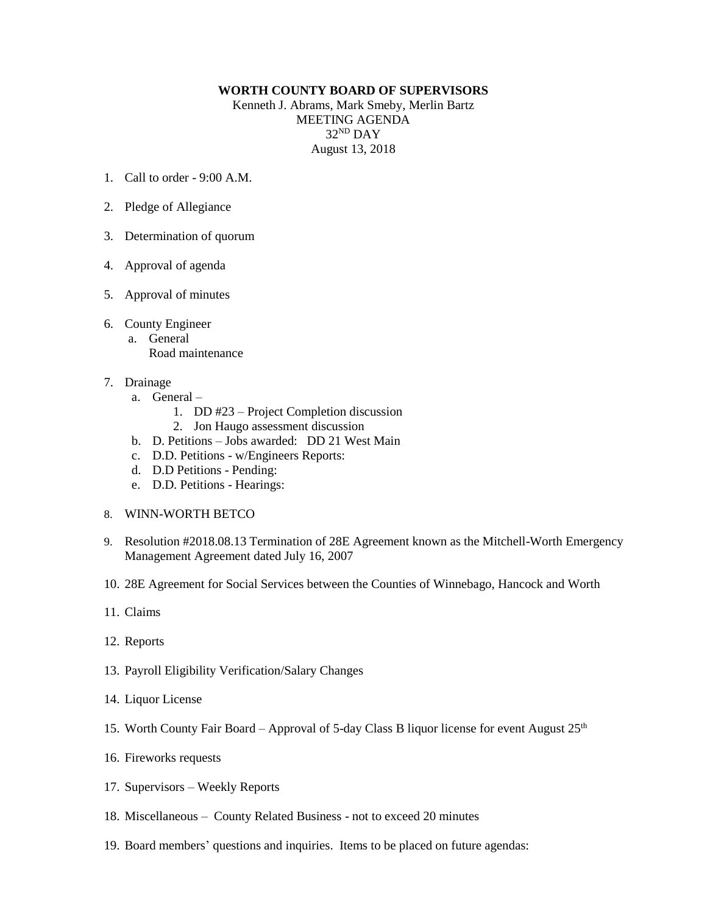## **WORTH COUNTY BOARD OF SUPERVISORS**

Kenneth J. Abrams, Mark Smeby, Merlin Bartz MEETING AGENDA 32 ND DAY August 13, 2018

- 1. Call to order 9:00 A.M.
- 2. Pledge of Allegiance
- 3. Determination of quorum
- 4. Approval of agenda
- 5. Approval of minutes
- 6. County Engineer a. General Road maintenance
- 7. Drainage
	- a. General
		- 1. DD #23 Project Completion discussion
		- 2. Jon Haugo assessment discussion
	- b. D. Petitions Jobs awarded: DD 21 West Main
	- c. D.D. Petitions w/Engineers Reports:
	- d. D.D Petitions Pending:
	- e. D.D. Petitions Hearings:
- 8. WINN-WORTH BETCO
- 9. Resolution #2018.08.13 Termination of 28E Agreement known as the Mitchell-Worth Emergency Management Agreement dated July 16, 2007
- 10. 28E Agreement for Social Services between the Counties of Winnebago, Hancock and Worth
- 11. Claims
- 12. Reports
- 13. Payroll Eligibility Verification/Salary Changes
- 14. Liquor License
- 15. Worth County Fair Board Approval of 5-day Class B liquor license for event August  $25<sup>th</sup>$
- 16. Fireworks requests
- 17. Supervisors Weekly Reports
- 18. Miscellaneous County Related Business not to exceed 20 minutes
- 19. Board members' questions and inquiries. Items to be placed on future agendas: